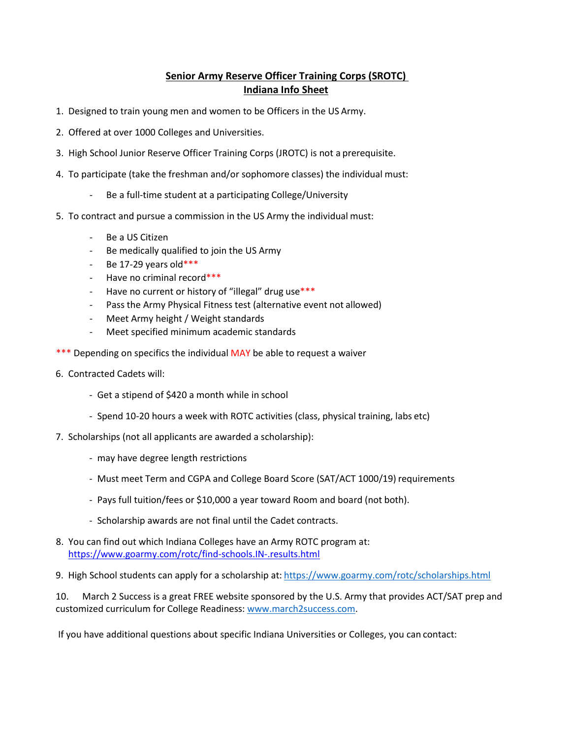## **Senior Army Reserve Officer Training Corps (SROTC) Indiana Info Sheet**

- 1. Designed to train young men and women to be Officers in the US Army.
- 2. Offered at over 1000 Colleges and Universities.
- 3. High School Junior Reserve Officer Training Corps (JROTC) is not a prerequisite.
- 4. To participate (take the freshman and/or sophomore classes) the individual must:
	- Be a full-time student at a participating College/University
- 5. To contract and pursue a commission in the US Army the individual must:
	- Be a US Citizen
	- Be medically qualified to join the US Army
	- Be 17-29 years old $***$
	- Have no criminal record\*\*\*
	- Have no current or history of "illegal" drug use\*\*\*
	- Pass the Army Physical Fitness test (alternative event not allowed)
	- Meet Army height / Weight standards
	- Meet specified minimum academic standards
- \*\*\* Depending on specifics the individual MAY be able to request a waiver
- 6. Contracted Cadets will:
	- Get a stipend of \$420 a month while in school
	- Spend 10-20 hours a week with ROTC activities (class, physical training, labs etc)
- 7. Scholarships (not all applicants are awarded a scholarship):
	- may have degree length restrictions
	- Must meet Term and CGPA and College Board Score (SAT/ACT 1000/19) requirements
	- Pays full tuition/fees or \$10,000 a year toward Room and board (not both).
	- Scholarship awards are not final until the Cadet contracts.
- 8. You can find out which Indiana Colleges have an Army ROTC program at: <https://www.goarmy.com/rotc/find-schools.IN-.results.html>
- 9. High School students can apply for a scholarship at: [https://www.goarmy.com/rotc/scholarships.html](http://www.goarmy.com/rotc/scholarships.html)

10. March 2 Success is a grea[t FREE website sponsored by t](http://www.march2success.com/)he U.S. Army that provides ACT/SAT prep and customized curriculum for College Readiness: [www.march2success.com.](http://www.march2success.com/) 

If you have additional questions about specific Indiana Universities or Colleges, you can contact: